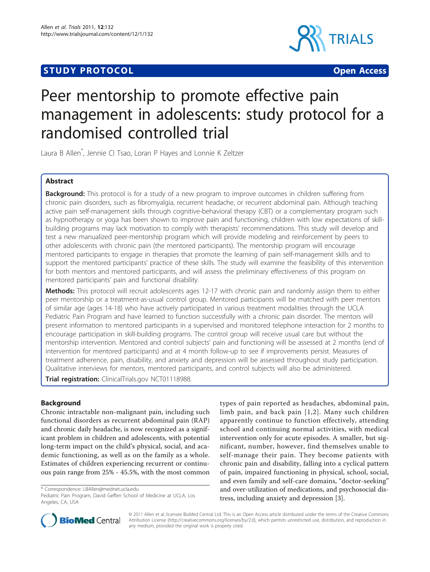# **STUDY PROTOCOL CONSUMING THE CONSUMING OPEN ACCESS**



# Peer mentorship to promote effective pain management in adolescents: study protocol for a randomised controlled trial

Laura B Allen\* , Jennie CI Tsao, Loran P Hayes and Lonnie K Zeltzer

# Abstract

**Background:** This protocol is for a study of a new program to improve outcomes in children suffering from chronic pain disorders, such as fibromyalgia, recurrent headache, or recurrent abdominal pain. Although teaching active pain self-management skills through cognitive-behavioral therapy (CBT) or a complementary program such as hypnotherapy or yoga has been shown to improve pain and functioning, children with low expectations of skillbuilding programs may lack motivation to comply with therapists' recommendations. This study will develop and test a new manualized peer-mentorship program which will provide modeling and reinforcement by peers to other adolescents with chronic pain (the mentored participants). The mentorship program will encourage mentored participants to engage in therapies that promote the learning of pain self-management skills and to support the mentored participants' practice of these skills. The study will examine the feasibility of this intervention for both mentors and mentored participants, and will assess the preliminary effectiveness of this program on mentored participants' pain and functional disability.

Methods: This protocol will recruit adolescents ages 12-17 with chronic pain and randomly assign them to either peer mentorship or a treatment-as-usual control group. Mentored participants will be matched with peer mentors of similar age (ages 14-18) who have actively participated in various treatment modalities through the UCLA Pediatric Pain Program and have learned to function successfully with a chronic pain disorder. The mentors will present information to mentored participants in a supervised and monitored telephone interaction for 2 months to encourage participation in skill-building programs. The control group will receive usual care but without the mentorship intervention. Mentored and control subjects' pain and functioning will be assessed at 2 months (end of intervention for mentored participants) and at 4 month follow-up to see if improvements persist. Measures of treatment adherence, pain, disability, and anxiety and depression will be assessed throughout study participation. Qualitative interviews for mentors, mentored participants, and control subjects will also be administered.

Trial registration: ClinicalTrials.gov [NCT01118988.](http://www.clinicaltrials.gov/ct2/show/NCT01118988)

# Background

Chronic intractable non-malignant pain, including such functional disorders as recurrent abdominal pain (RAP) and chronic daily headache, is now recognized as a significant problem in children and adolescents, with potential long-term impact on the child's physical, social, and academic functioning, as well as on the family as a whole. Estimates of children experiencing recurrent or continuous pain range from 25% - 45.5%, with the most common

\* Correspondence: [LBAllen@mednet.ucla.edu](mailto:LBAllen@mednet.ucla.edu)

types of pain reported as headaches, abdominal pain, limb pain, and back pain [[1,2\]](#page-10-0). Many such children apparently continue to function effectively, attending school and continuing normal activities, with medical intervention only for acute episodes. A smaller, but significant, number, however, find themselves unable to self-manage their pain. They become patients with chronic pain and disability, falling into a cyclical pattern of pain, impaired functioning in physical, school, social, and even family and self-care domains, "doctor-seeking" and over-utilization of medications, and psychosocial distress, including anxiety and depression [[3](#page-10-0)].



© 2011 Allen et al; licensee BioMed Central Ltd. This is an Open Access article distributed under the terms of the Creative Commons Attribution License [\(http://creativecommons.org/licenses/by/2.0](http://creativecommons.org/licenses/by/2.0)), which permits unrestricted use, distribution, and reproduction in any medium, provided the original work is properly cited.

Pediatric Pain Program, David Geffen School of Medicine at UCLA, Los Angeles, CA, USA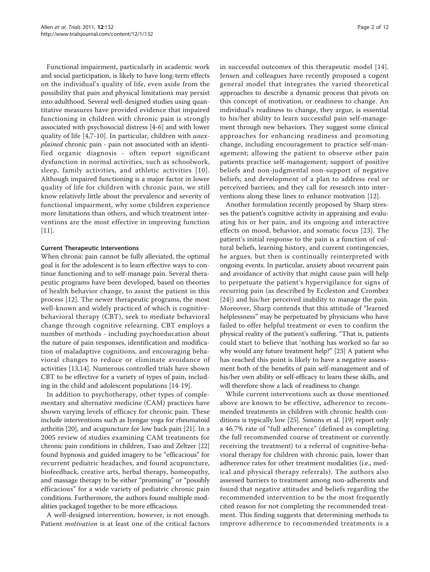Functional impairment, particularly in academic work and social participation, is likely to have long-term effects on the individual's quality of life, even aside from the possibility that pain and physical limitations may persist into adulthood. Several well-designed studies using quantitative measures have provided evidence that impaired functioning in children with chronic pain is strongly associated with psychosocial distress [[4-6\]](#page-10-0) and with lower quality of life [[4,7-10\]](#page-10-0). In particular, children with *unex*plained chronic pain - pain not associated with an identified organic diagnosis - often report significant dysfunction in normal activities, such as schoolwork, sleep, family activities, and athletic activities [[10\]](#page-10-0). Although impaired functioning is a major factor in lower quality of life for children with chronic pain, we still know relatively little about the prevalence and severity of functional impairment, why some children experience more limitations than others, and which treatment interventions are the most effective in improving function  $[11]$  $[11]$ .

### Current Therapeutic Interventions

When chronic pain cannot be fully alleviated, the optimal goal is for the adolescent is to learn effective ways to continue functioning and to self-manage pain. Several therapeutic programs have been developed, based on theories of health behavior change, to assist the patient in this process [[12\]](#page-10-0). The newer therapeutic programs, the most well-known and widely practiced of which is cognitivebehavioral therapy (CBT), seek to mediate behavioral change through cognitive relearning. CBT employs a number of methods - including psychoeducation about the nature of pain responses, identification and modification of maladaptive cognitions, and encouraging behavioral changes to reduce or eliminate avoidance of activities [\[13,14](#page-10-0)]. Numerous controlled trials have shown CBT to be effective for a variety of types of pain, including in the child and adolescent populations [\[14](#page-10-0)-[19\]](#page-10-0).

In addition to psychotherapy, other types of complementary and alternative medicine (CAM) practices have shown varying levels of efficacy for chronic pain. These include interventions such as Iyengar yoga for rheumatoid arthritis [\[20\]](#page-10-0), and acupuncture for low back pain [\[21\]](#page-10-0). In a 2005 review of studies examining CAM treatments for chronic pain conditions in children, Tsao and Zeltzer [[22](#page-10-0)] found hypnosis and guided imagery to be "efficacious" for recurrent pediatric headaches, and found acupuncture, biofeedback, creative arts, herbal therapy, homeopathy, and massage therapy to be either "promising" or "possibly efficacious" for a wide variety of pediatric chronic pain conditions. Furthermore, the authors found multiple modalities packaged together to be more efficacious.

A well-designed intervention, however, is not enough. Patient motivation is at least one of the critical factors in successful outcomes of this therapeutic model [[14](#page-10-0)]. Jensen and colleagues have recently proposed a cogent general model that integrates the varied theoretical approaches to describe a dynamic process that pivots on this concept of motivation, or readiness to change. An individual's readiness to change, they argue, is essential to his/her ability to learn successful pain self-management through new behaviors. They suggest some clinical approaches for enhancing readiness and promoting change, including encouragement to practice self-management; allowing the patient to observe other pain patients practice self-management; support of positive beliefs and non-judgmental non-support of negative beliefs; and development of a plan to address real or perceived barriers; and they call for research into interventions along these lines to enhance motivation [\[12\]](#page-10-0).

Another formulation recently proposed by Sharp stresses the patient's cognitive activity in appraising and evaluating his or her pain, and its ongoing and interactive effects on mood, behavior, and somatic focus [[23](#page-10-0)]. The patient's initial response to the pain is a function of cultural beliefs, learning history, and current contingencies, he argues, but then is continually reinterpreted with ongoing events. In particular, anxiety about recurrent pain and avoidance of activity that might cause pain will help to perpetuate the patient's hypervigilance for signs of recurring pain (as described by Eccleston and Crombez [[24\]](#page-10-0)) and his/her perceived inability to manage the pain. Moreover, Sharp contends that this attitude of "learned helplessness" may be perpetuated by physicians who have failed to offer helpful treatment or even to confirm the physical reality of the patient's suffering. "That is, patients could start to believe that 'nothing has worked so far so why would any future treatment help?" [\[23\]](#page-10-0) A patient who has reached this point is likely to have a negative assessment both of the benefits of pain self-management and of his/her own ability or self-efficacy to learn these skills, and will therefore show a lack of readiness to change.

While current interventions such as those mentioned above are known to be effective, adherence to recommended treatments in children with chronic health conditions is typically low [\[25](#page-10-0)]. Simons et al. [\[19](#page-10-0)] report only a 46.7% rate of "full adherence" (defined as completing the full recommended course of treatment or currently receiving the treatment) to a referral of cognitive-behavioral therapy for children with chronic pain, lower than adherence rates for other treatment modalities (i.e., medical and physical therapy referrals). The authors also assessed barriers to treatment among non-adherents and found that negative attitudes and beliefs regarding the recommended intervention to be the most frequently cited reason for not completing the recommended treatment. This finding suggests that determining methods to improve adherence to recommended treatments is a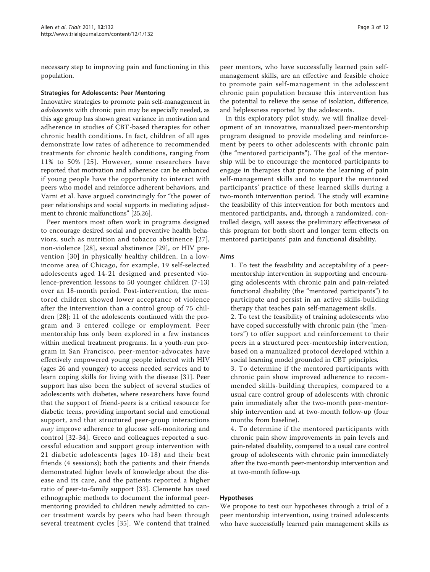necessary step to improving pain and functioning in this population.

#### Strategies for Adolescents: Peer Mentoring

Innovative strategies to promote pain self-management in adolescents with chronic pain may be especially needed, as this age group has shown great variance in motivation and adherence in studies of CBT-based therapies for other chronic health conditions. In fact, children of all ages demonstrate low rates of adherence to recommended treatments for chronic health conditions, ranging from 11% to 50% [[25](#page-10-0)]. However, some researchers have reported that motivation and adherence can be enhanced if young people have the opportunity to interact with peers who model and reinforce adherent behaviors, and Varni et al. have argued convincingly for "the power of peer relationships and social supports in mediating adjustment to chronic malfunctions" [[25,26\]](#page-10-0).

Peer mentors most often work in programs designed to encourage desired social and preventive health behaviors, such as nutrition and tobacco abstinence [[27\]](#page-10-0), non-violence [[28\]](#page-10-0), sexual abstinence [[29\]](#page-10-0), or HIV prevention [[30](#page-10-0)] in physically healthy children. In a lowincome area of Chicago, for example, 19 self-selected adolescents aged 14-21 designed and presented violence-prevention lessons to 50 younger children (7-13) over an 18-month period. Post-intervention, the mentored children showed lower acceptance of violence after the intervention than a control group of 75 children [[28\]](#page-10-0); 11 of the adolescents continued with the program and 3 entered college or employment. Peer mentorship has only been explored in a few instances within medical treatment programs. In a youth-run program in San Francisco, peer-mentor-advocates have effectively empowered young people infected with HIV (ages 26 and younger) to access needed services and to learn coping skills for living with the disease [\[31](#page-10-0)]. Peer support has also been the subject of several studies of adolescents with diabetes, where researchers have found that the support of friend-peers is a critical resource for diabetic teens, providing important social and emotional support, and that structured peer-group interactions may improve adherence to glucose self-monitoring and control [[32-34](#page-10-0)]. Greco and colleagues reported a successful education and support group intervention with 21 diabetic adolescents (ages 10-18) and their best friends (4 sessions); both the patients and their friends demonstrated higher levels of knowledge about the disease and its care, and the patients reported a higher ratio of peer-to-family support [\[33](#page-10-0)]. Clemente has used ethnographic methods to document the informal peermentoring provided to children newly admitted to cancer treatment wards by peers who had been through several treatment cycles [[35\]](#page-10-0). We contend that trained

peer mentors, who have successfully learned pain selfmanagement skills, are an effective and feasible choice to promote pain self-management in the adolescent chronic pain population because this intervention has the potential to relieve the sense of isolation, difference, and helplessness reported by the adolescents.

In this exploratory pilot study, we will finalize development of an innovative, manualized peer-mentorship program designed to provide modeling and reinforcement by peers to other adolescents with chronic pain (the "mentored participants"). The goal of the mentorship will be to encourage the mentored participants to engage in therapies that promote the learning of pain self-management skills and to support the mentored participants' practice of these learned skills during a two-month intervention period. The study will examine the feasibility of this intervention for both mentors and mentored participants, and, through a randomized, controlled design, will assess the preliminary effectiveness of this program for both short and longer term effects on mentored participants' pain and functional disability.

#### Aims

1. To test the feasibility and acceptability of a peermentorship intervention in supporting and encouraging adolescents with chronic pain and pain-related functional disability (the "mentored participants") to participate and persist in an active skills-building therapy that teaches pain self-management skills. 2. To test the feasibility of training adolescents who

have coped successfully with chronic pain (the "mentors") to offer support and reinforcement to their peers in a structured peer-mentorship intervention, based on a manualized protocol developed within a social learning model grounded in CBT principles.

3. To determine if the mentored participants with chronic pain show improved adherence to recommended skills-building therapies, compared to a usual care control group of adolescents with chronic pain immediately after the two-month peer-mentorship intervention and at two-month follow-up (four months from baseline).

4. To determine if the mentored participants with chronic pain show improvements in pain levels and pain-related disability, compared to a usual care control group of adolescents with chronic pain immediately after the two-month peer-mentorship intervention and at two-month follow-up.

#### Hypotheses

We propose to test our hypotheses through a trial of a peer mentorship intervention, using trained adolescents who have successfully learned pain management skills as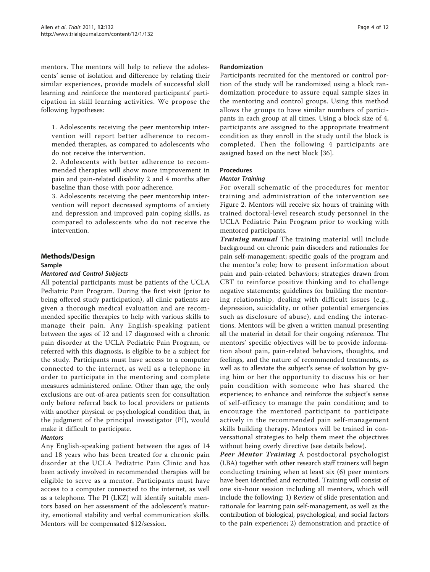mentors. The mentors will help to relieve the adolescents' sense of isolation and difference by relating their similar experiences, provide models of successful skill learning and reinforce the mentored participants' participation in skill learning activities. We propose the following hypotheses:

1. Adolescents receiving the peer mentorship intervention will report better adherence to recommended therapies, as compared to adolescents who do not receive the intervention.

2. Adolescents with better adherence to recommended therapies will show more improvement in pain and pain-related disability 2 and 4 months after baseline than those with poor adherence.

3. Adolescents receiving the peer mentorship intervention will report decreased symptoms of anxiety and depression and improved pain coping skills, as compared to adolescents who do not receive the intervention.

# Methods/Design

### Sample

### Mentored and Control Subjects

All potential participants must be patients of the UCLA Pediatric Pain Program. During the first visit (prior to being offered study participation), all clinic patients are given a thorough medical evaluation and are recommended specific therapies to help with various skills to manage their pain. Any English-speaking patient between the ages of 12 and 17 diagnosed with a chronic pain disorder at the UCLA Pediatric Pain Program, or referred with this diagnosis, is eligible to be a subject for the study. Participants must have access to a computer connected to the internet, as well as a telephone in order to participate in the mentoring and complete measures administered online. Other than age, the only exclusions are out-of-area patients seen for consultation only before referral back to local providers or patients with another physical or psychological condition that, in the judgment of the principal investigator (PI), would make it difficult to participate.

# Mentors

Any English-speaking patient between the ages of 14 and 18 years who has been treated for a chronic pain disorder at the UCLA Pediatric Pain Clinic and has been actively involved in recommended therapies will be eligible to serve as a mentor. Participants must have access to a computer connected to the internet, as well as a telephone. The PI (LKZ) will identify suitable mentors based on her assessment of the adolescent's maturity, emotional stability and verbal communication skills. Mentors will be compensated \$12/session.

#### Randomization

Participants recruited for the mentored or control portion of the study will be randomized using a block randomization procedure to assure equal sample sizes in the mentoring and control groups. Using this method allows the groups to have similar numbers of participants in each group at all times. Using a block size of 4, participants are assigned to the appropriate treatment condition as they enroll in the study until the block is completed. Then the following 4 participants are assigned based on the next block [\[36\]](#page-10-0).

# Procedures

### Mentor Training

For overall schematic of the procedures for mentor training and administration of the intervention see Figure [2.](#page-6-0) Mentors will receive six hours of training with trained doctoral-level research study personnel in the UCLA Pediatric Pain Program prior to working with mentored participants.

Training manual The training material will include background on chronic pain disorders and rationales for pain self-management; specific goals of the program and the mentor's role; how to present information about pain and pain-related behaviors; strategies drawn from CBT to reinforce positive thinking and to challenge negative statements; guidelines for building the mentoring relationship, dealing with difficult issues (e.g., depression, suicidality, or other potential emergencies such as disclosure of abuse), and ending the interactions. Mentors will be given a written manual presenting all the material in detail for their ongoing reference. The mentors' specific objectives will be to provide information about pain, pain-related behaviors, thoughts, and feelings, and the nature of recommended treatments, as well as to alleviate the subject's sense of isolation by giving him or her the opportunity to discuss his or her pain condition with someone who has shared the experience; to enhance and reinforce the subject's sense of self-efficacy to manage the pain condition; and to encourage the mentored participant to participate actively in the recommended pain self-management skills building therapy. Mentors will be trained in conversational strategies to help them meet the objectives without being overly directive (see details below).

Peer Mentor Training A postdoctoral psychologist (LBA) together with other research staff trainers will begin conducting training when at least six (6) peer mentors have been identified and recruited. Training will consist of one six-hour session including all mentors, which will include the following: 1) Review of slide presentation and rationale for learning pain self-management, as well as the contribution of biological, psychological, and social factors to the pain experience; 2) demonstration and practice of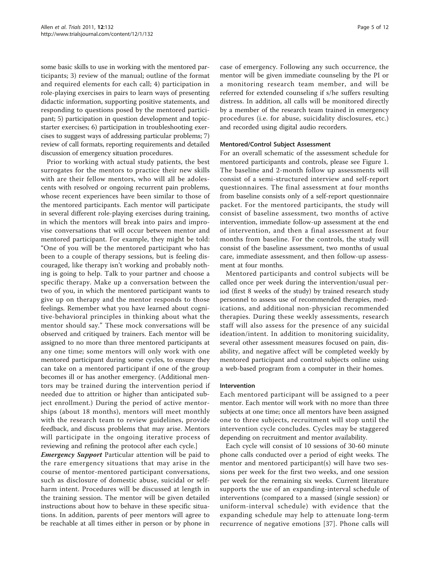some basic skills to use in working with the mentored participants; 3) review of the manual; outline of the format and required elements for each call; 4) participation in role-playing exercises in pairs to learn ways of presenting didactic information, supporting positive statements, and responding to questions posed by the mentored participant; 5) participation in question development and topicstarter exercises; 6) participation in troubleshooting exercises to suggest ways of addressing particular problems; 7) review of call formats, reporting requirements and detailed discussion of emergency situation procedures.

Prior to working with actual study patients, the best surrogates for the mentors to practice their new skills with are their fellow mentors, who will all be adolescents with resolved or ongoing recurrent pain problems, whose recent experiences have been similar to those of the mentored participants. Each mentor will participate in several different role-playing exercises during training, in which the mentors will break into pairs and improvise conversations that will occur between mentor and mentored participant. For example, they might be told: "One of you will be the mentored participant who has been to a couple of therapy sessions, but is feeling discouraged, like therapy isn't working and probably nothing is going to help. Talk to your partner and choose a specific therapy. Make up a conversation between the two of you, in which the mentored participant wants to give up on therapy and the mentor responds to those feelings. Remember what you have learned about cognitive-behavioral principles in thinking about what the mentor should say." These mock conversations will be observed and critiqued by trainers. Each mentor will be assigned to no more than three mentored participants at any one time; some mentors will only work with one mentored participant during some cycles, to ensure they can take on a mentored participant if one of the group becomes ill or has another emergency. (Additional mentors may be trained during the intervention period if needed due to attrition or higher than anticipated subject enrollment.) During the period of active mentorships (about 18 months), mentors will meet monthly with the research team to review guidelines, provide feedback, and discuss problems that may arise. Mentors will participate in the ongoing iterative process of reviewing and refining the protocol after each cycle.]

**Emergency Support** Particular attention will be paid to the rare emergency situations that may arise in the course of mentor-mentored participant conversations, such as disclosure of domestic abuse, suicidal or selfharm intent. Procedures will be discussed at length in the training session. The mentor will be given detailed instructions about how to behave in these specific situations. In addition, parents of peer mentors will agree to be reachable at all times either in person or by phone in case of emergency. Following any such occurrence, the mentor will be given immediate counseling by the PI or a monitoring research team member, and will be referred for extended counseling if s/he suffers resulting distress. In addition, all calls will be monitored directly by a member of the research team trained in emergency procedures (i.e. for abuse, suicidality disclosures, etc.) and recorded using digital audio recorders.

### Mentored/Control Subject Assessment

For an overall schematic of the assessment schedule for mentored participants and controls, please see Figure [1](#page-5-0). The baseline and 2-month follow up assessments will consist of a semi-structured interview and self-report questionnaires. The final assessment at four months from baseline consists only of a self-report questionnaire packet. For the mentored participants, the study will consist of baseline assessment, two months of active intervention, immediate follow-up assessment at the end of intervention, and then a final assessment at four months from baseline. For the controls, the study will consist of the baseline assessment, two months of usual care, immediate assessment, and then follow-up assessment at four months.

Mentored participants and control subjects will be called once per week during the intervention/usual period (first 8 weeks of the study) by trained research study personnel to assess use of recommended therapies, medications, and additional non-physician recommended therapies. During these weekly assessments, research staff will also assess for the presence of any suicidal ideation/intent. In addition to monitoring suicidality, several other assessment measures focused on pain, disability, and negative affect will be completed weekly by mentored participant and control subjects online using a web-based program from a computer in their homes.

#### Intervention

Each mentored participant will be assigned to a peer mentor. Each mentor will work with no more than three subjects at one time; once all mentors have been assigned one to three subjects, recruitment will stop until the intervention cycle concludes. Cycles may be staggered depending on recruitment and mentor availability.

Each cycle will consist of 10 sessions of 30-60 minute phone calls conducted over a period of eight weeks. The mentor and mentored participant(s) will have two sessions per week for the first two weeks, and one session per week for the remaining six weeks. Current literature supports the use of an expanding-interval schedule of interventions (compared to a massed (single session) or uniform-interval schedule) with evidence that the expanding schedule may help to attenuate long-term recurrence of negative emotions [[37](#page-10-0)]. Phone calls will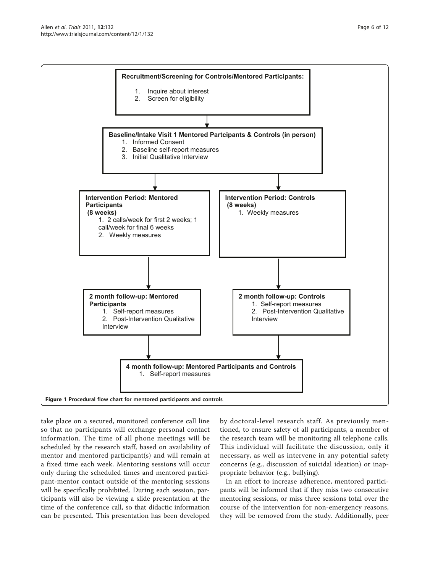<span id="page-5-0"></span>

take place on a secured, monitored conference call line so that no participants will exchange personal contact information. The time of all phone meetings will be scheduled by the research staff, based on availability of mentor and mentored participant(s) and will remain at a fixed time each week. Mentoring sessions will occur only during the scheduled times and mentored participant-mentor contact outside of the mentoring sessions will be specifically prohibited. During each session, participants will also be viewing a slide presentation at the time of the conference call, so that didactic information can be presented. This presentation has been developed

by doctoral-level research staff. As previously mentioned, to ensure safety of all participants, a member of the research team will be monitoring all telephone calls. This individual will facilitate the discussion, only if necessary, as well as intervene in any potential safety concerns (e.g., discussion of suicidal ideation) or inappropriate behavior (e.g., bullying).

In an effort to increase adherence, mentored participants will be informed that if they miss two consecutive mentoring sessions, or miss three sessions total over the course of the intervention for non-emergency reasons, they will be removed from the study. Additionally, peer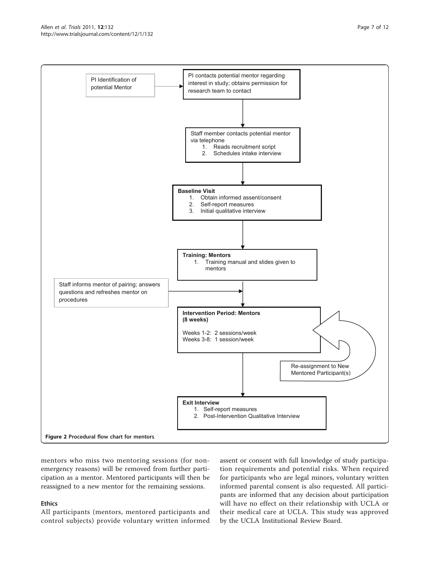<span id="page-6-0"></span>

mentors who miss two mentoring sessions (for nonemergency reasons) will be removed from further participation as a mentor. Mentored participants will then be reassigned to a new mentor for the remaining sessions.

# Ethics

All participants (mentors, mentored participants and control subjects) provide voluntary written informed

assent or consent with full knowledge of study participation requirements and potential risks. When required for participants who are legal minors, voluntary written informed parental consent is also requested. All participants are informed that any decision about participation will have no effect on their relationship with UCLA or their medical care at UCLA. This study was approved by the UCLA Institutional Review Board.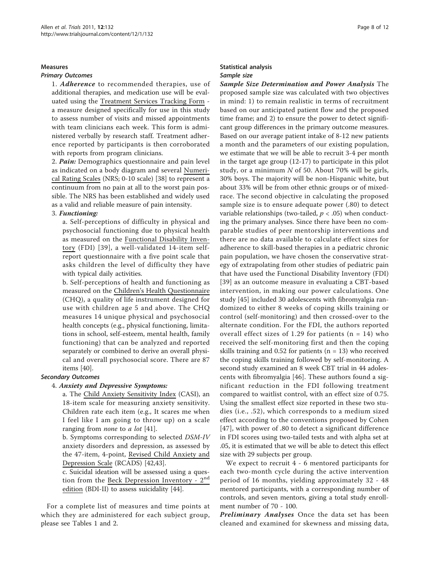#### Measures

#### Primary Outcomes

1. Adherence to recommended therapies, use of additional therapies, and medication use will be evaluated using the Treatment Services Tracking Form a measure designed specifically for use in this study to assess number of visits and missed appointments with team clinicians each week. This form is administered verbally by research staff. Treatment adherence reported by participants is then corroborated with reports from program clinicians.

2. Pain: Demographics questionnaire and pain level as indicated on a body diagram and several Numerical Rating Scales (NRS; 0-10 scale) [\[38](#page-10-0)] to represent a continuum from no pain at all to the worst pain possible. The NRS has been established and widely used as a valid and reliable measure of pain intensity.

# 3. Functioning:

a. Self-perceptions of difficulty in physical and psychosocial functioning due to physical health as measured on the Functional Disability Inventory (FDI) [[39\]](#page-10-0), a well-validated 14-item selfreport questionnaire with a five point scale that asks children the level of difficulty they have with typical daily activities.

b. Self-perceptions of health and functioning as measured on the Children's Health Questionnaire (CHQ), a quality of life instrument designed for use with children age 5 and above. The CHQ measures 14 unique physical and psychosocial health concepts (e.g., physical functioning, limitations in school, self-esteem, mental health, family functioning) that can be analyzed and reported separately or combined to derive an overall physical and overall psychosocial score. There are 87 items [\[40](#page-10-0)].

# Secondary Outcomes

# 4. Anxiety and Depressive Symptoms:

a. The Child Anxiety Sensitivity Index (CASI), an 18-item scale for measuring anxiety sensitivity. Children rate each item (e.g., It scares me when I feel like I am going to throw up) on a scale ranging from *none* to *a lot* [[41\]](#page-10-0).

b. Symptoms corresponding to selected DSM-IV anxiety disorders and depression, as assessed by the 47-item, 4-point, Revised Child Anxiety and Depression Scale (RCADS) [\[42](#page-10-0)[,43\]](#page-11-0).

c. Suicidal ideation will be assessed using a question from the Beck Depression Inventory - 2nd edition (BDI-II) to assess suicidality [[44](#page-11-0)].

For a complete list of measures and time points at which they are administered for each subject group, please see Tables [1](#page-8-0) and [2](#page-8-0).

# Statistical analysis Sample size

Sample Size Determination and Power Analysis The proposed sample size was calculated with two objectives in mind: 1) to remain realistic in terms of recruitment based on our anticipated patient flow and the proposed time frame; and 2) to ensure the power to detect significant group differences in the primary outcome measures. Based on our average patient intake of 8-12 new patients a month and the parameters of our existing population, we estimate that we will be able to recruit 3-4 per month in the target age group (12-17) to participate in this pilot study, or a minimum  $N$  of 50. About 70% will be girls, 30% boys. The majority will be non-Hispanic white, but about 33% will be from other ethnic groups or of mixedrace. The second objective in calculating the proposed sample size is to ensure adequate power (.80) to detect variable relationships (two-tailed,  $p < .05$ ) when conducting the primary analyses. Since there have been no comparable studies of peer mentorship interventions and there are no data available to calculate effect sizes for adherence to skill-based therapies in a pediatric chronic pain population, we have chosen the conservative strategy of extrapolating from other studies of pediatric pain that have used the Functional Disability Inventory (FDI) [[39](#page-10-0)] as an outcome measure in evaluating a CBT-based intervention, in making our power calculations. One study [[45](#page-11-0)] included 30 adolescents with fibromyalgia randomized to either 8 weeks of coping skills training or control (self-monitoring) and then crossed-over to the alternate condition. For the FDI, the authors reported overall effect sizes of 1.29 for patients  $(n = 14)$  who received the self-monitoring first and then the coping skills training and  $0.52$  for patients ( $n = 13$ ) who received the coping skills training followed by self-monitoring. A second study examined an 8 week CBT trial in 44 adolescents with fibromyalgia [\[46](#page-11-0)]. These authors found a significant reduction in the FDI following treatment compared to waitlist control, with an effect size of 0.75. Using the smallest effect size reported in these two studies (i.e., .52), which corresponds to a medium sized effect according to the conventions proposed by Cohen [[47](#page-11-0)], with power of .80 to detect a significant difference in FDI scores using two-tailed tests and with alpha set at .05, it is estimated that we will be able to detect this effect size with 29 subjects per group.

We expect to recruit 4 - 6 mentored participants for each two-month cycle during the active intervention period of 16 months, yielding approximately 32 - 48 mentored participants, with a corresponding number of controls, and seven mentors, giving a total study enrollment number of 70 - 100.

Preliminary Analyses Once the data set has been cleaned and examined for skewness and missing data,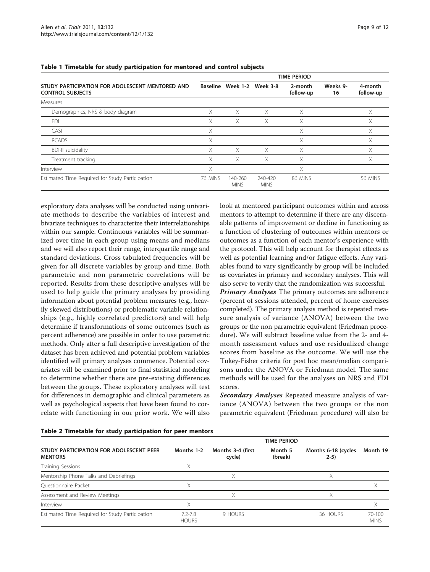|                                                                            | <b>TIME PERIOD</b> |                        |                        |                      |                |                      |  |
|----------------------------------------------------------------------------|--------------------|------------------------|------------------------|----------------------|----------------|----------------------|--|
| STUDY PARTICIPATION FOR ADOLESCENT MENTORED AND<br><b>CONTROL SUBJECTS</b> | <b>Baseline</b>    |                        | Week 1-2 Week 3-8      | 2-month<br>follow-up | Weeks 9-<br>16 | 4-month<br>follow-up |  |
| Measures                                                                   |                    |                        |                        |                      |                |                      |  |
| Demographics, NRS & body diagram                                           | X                  | Χ                      | X                      | Χ                    |                | Χ                    |  |
| <b>FDI</b>                                                                 | X                  | X                      | X                      | Χ                    |                | Χ                    |  |
| CASI                                                                       | X                  |                        |                        | Χ                    |                | Χ                    |  |
| <b>RCADS</b>                                                               | X                  |                        |                        | Χ                    |                | Χ                    |  |
| <b>BDI-II</b> suicidality                                                  | X                  | Χ                      | X                      | Χ                    |                | Χ                    |  |
| Treatment tracking                                                         | X                  | Χ                      | X                      | Χ                    |                | Χ                    |  |
| Interview                                                                  | X                  |                        |                        | Χ                    |                |                      |  |
| Estimated Time Required for Study Participation                            | 76 MINS            | 140-260<br><b>MINS</b> | 240-420<br><b>MINS</b> | 86 MINS              |                | 56 MINS              |  |

#### <span id="page-8-0"></span>Table 1 Timetable for study participation for mentored and control subjects

exploratory data analyses will be conducted using univariate methods to describe the variables of interest and bivariate techniques to characterize their interrelationships within our sample. Continuous variables will be summarized over time in each group using means and medians and we will also report their range, interquartile range and standard deviations. Cross tabulated frequencies will be given for all discrete variables by group and time. Both parametric and non parametric correlations will be reported. Results from these descriptive analyses will be used to help guide the primary analyses by providing information about potential problem measures (e.g., heavily skewed distributions) or problematic variable relationships (e.g., highly correlated predictors) and will help determine if transformations of some outcomes (such as percent adherence) are possible in order to use parametric methods. Only after a full descriptive investigation of the dataset has been achieved and potential problem variables identified will primary analyses commence. Potential covariates will be examined prior to final statistical modeling to determine whether there are pre-existing differences between the groups. These exploratory analyses will test for differences in demographic and clinical parameters as well as psychological aspects that have been found to correlate with functioning in our prior work. We will also look at mentored participant outcomes within and across mentors to attempt to determine if there are any discernable patterns of improvement or decline in functioning as a function of clustering of outcomes within mentors or outcomes as a function of each mentor's experience with the protocol. This will help account for therapist effects as well as potential learning and/or fatigue effects. Any variables found to vary significantly by group will be included as covariates in primary and secondary analyses. This will also serve to verify that the randomization was successful. Primary Analyses The primary outcomes are adherence (percent of sessions attended, percent of home exercises completed). The primary analysis method is repeated measure analysis of variance (ANOVA) between the two groups or the non parametric equivalent (Friedman procedure). We will subtract baseline value from the 2- and 4 month assessment values and use residualized change scores from baseline as the outcome. We will use the Tukey-Fisher criteria for post hoc mean/median comparisons under the ANOVA or Friedman model. The same methods will be used for the analyses on NRS and FDI scores.

Secondary Analyses Repeated measure analysis of variance (ANOVA) between the two groups or the non parametric equivalent (Friedman procedure) will also be

| STUDY PARTICIPATION FOR ADOLESCENT PEER<br><b>MENTORS</b> | <b>TIME PERIOD</b>          |                             |                    |                               |                       |  |  |  |  |
|-----------------------------------------------------------|-----------------------------|-----------------------------|--------------------|-------------------------------|-----------------------|--|--|--|--|
|                                                           | Months 1-2                  | Months 3-4 (first<br>cycle) | Month 5<br>(break) | Months 6-18 (cycles<br>$2-5)$ | Month 19              |  |  |  |  |
| Training Sessions                                         | Χ                           |                             |                    |                               |                       |  |  |  |  |
| Mentorship Phone Talks and Debriefings                    |                             | Χ                           |                    | X                             |                       |  |  |  |  |
| Ouestionnaire Packet                                      | Χ                           |                             |                    |                               | Χ                     |  |  |  |  |
| Assessment and Review Meetings                            |                             | Χ                           |                    | Χ                             |                       |  |  |  |  |
| Interview                                                 | Χ                           |                             |                    |                               | Χ                     |  |  |  |  |
| Estimated Time Required for Study Participation           | $7.2 - 7.8$<br><b>HOURS</b> | 9 HOURS                     |                    | 36 HOURS                      | 70-100<br><b>MINS</b> |  |  |  |  |

#### Table 2 Timetable for study participation for peer mentors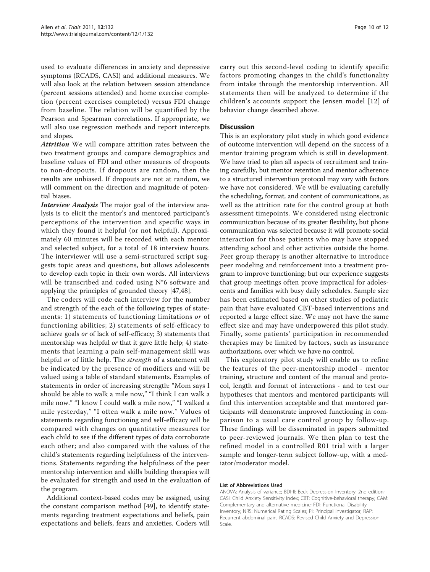used to evaluate differences in anxiety and depressive symptoms (RCADS, CASI) and additional measures. We will also look at the relation between session attendance (percent sessions attended) and home exercise completion (percent exercises completed) versus FDI change from baseline. The relation will be quantified by the Pearson and Spearman correlations. If appropriate, we will also use regression methods and report intercepts and slopes.

Attrition We will compare attrition rates between the two treatment groups and compare demographics and baseline values of FDI and other measures of dropouts to non-dropouts. If dropouts are random, then the results are unbiased. If dropouts are not at random, we will comment on the direction and magnitude of potential biases.

Interview Analysis The major goal of the interview analysis is to elicit the mentor's and mentored participant's perceptions of the intervention and specific ways in which they found it helpful (or not helpful). Approximately 60 minutes will be recorded with each mentor and selected subject, for a total of 18 interview hours. The interviewer will use a semi-structured script suggests topic areas and questions, but allows adolescents to develop each topic in their own words. All interviews will be transcribed and coded using N<sup>\*6</sup> software and applying the principles of grounded theory [[47](#page-11-0),[48](#page-11-0)].

The coders will code each interview for the number and strength of the each of the following types of statements: 1) statements of functioning limitations or of functioning abilities; 2) statements of self-efficacy to achieve goals or of lack of self-efficacy; 3) statements that mentorship was helpful *or* that it gave little help; 4) statements that learning a pain self-management skill was helpful *or* of little help. The *strength* of a statement will be indicated by the presence of modifiers and will be valued using a table of standard statements. Examples of statements in order of increasing strength: "Mom says I should be able to walk a mile now," "I think I can walk a mile now." "I know I could walk a mile now," "I walked a mile yesterday," "I often walk a mile now." Values of statements regarding functioning and self-efficacy will be compared with changes on quantitative measures for each child to see if the different types of data corroborate each other; and also compared with the values of the child's statements regarding helpfulness of the interventions. Statements regarding the helpfulness of the peer mentorship intervention and skills building therapies will be evaluated for strength and used in the evaluation of the program.

Additional context-based codes may be assigned, using the constant comparison method [\[49](#page-11-0)], to identify statements regarding treatment expectations and beliefs, pain expectations and beliefs, fears and anxieties. Coders will carry out this second-level coding to identify specific factors promoting changes in the child's functionality from intake through the mentorship intervention. All statements then will be analyzed to determine if the children's accounts support the Jensen model [[12](#page-10-0)] of behavior change described above.

# **Discussion**

This is an exploratory pilot study in which good evidence of outcome intervention will depend on the success of a mentor training program which is still in development. We have tried to plan all aspects of recruitment and training carefully, but mentor retention and mentor adherence to a structured intervention protocol may vary with factors we have not considered. We will be evaluating carefully the scheduling, format, and content of communications, as well as the attrition rate for the control group at both assessment timepoints. We considered using electronic communication because of its greater flexibility, but phone communication was selected because it will promote social interaction for those patients who may have stopped attending school and other activities outside the home. Peer group therapy is another alternative to introduce peer modeling and reinforcement into a treatment program to improve functioning; but our experience suggests that group meetings often prove impractical for adolescents and families with busy daily schedules. Sample size has been estimated based on other studies of pediatric pain that have evaluated CBT-based interventions and reported a large effect size. We may not have the same effect size and may have underpowered this pilot study. Finally, some patients' participation in recommended therapies may be limited by factors, such as insurance authorizations, over which we have no control.

This exploratory pilot study will enable us to refine the features of the peer-mentorship model - mentor training, structure and content of the manual and protocol, length and format of interactions - and to test our hypotheses that mentors and mentored participants will find this intervention acceptable and that mentored participants will demonstrate improved functioning in comparison to a usual care control group by follow-up. These findings will be disseminated in papers submitted to peer-reviewed journals. We then plan to test the refined model in a controlled R01 trial with a larger sample and longer-term subject follow-up, with a mediator/moderator model.

#### List of Abbreviations Used

ANOVA: Analysis of variance; BDI-II: Beck Depression Inventory: 2nd edition; CASI: Child Anxiety Sensitivity Index; CBT: Cognitive-behavioral therapy; CAM: Complementary and alternative medicine; FDI: Functional Disability Inventory; NRS: Numerical Rating Scales; PI: Principal investigator; RAP: Recurrent abdominal pain; RCADS: Revised Child Anxiety and Depression Scale.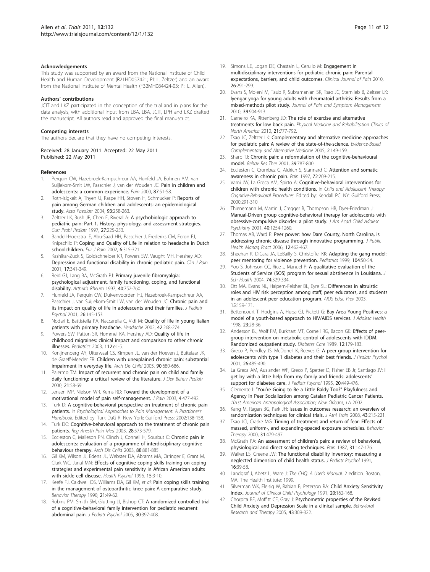#### <span id="page-10-0"></span>Acknowledgements

This study was supported by an award from the National Institute of Child Health and Human Development (R21HD057421; PI: L. Zeltzer) and an award from the National Institute of Mental Health (F32MH084424-03; PI: L. Allen).

#### Authors' contributions

JCIT and LKZ participated in the conception of the trial and in plans for the data analysis, with additional input from LBA. LBA, JCIT, LPH and LKZ drafted the manuscript. All authors read and approved the final manuscript.

#### Competing interests

The authors declare that they have no competing interests.

#### Received: 28 January 2011 Accepted: 22 May 2011 Published: 22 May 2011

#### References

- Perquin CW, Hazebroek-Kampschreur AA, Hunfeld JA, Bohnen AM, van Suijlekom-Smit LW, Passchier J, van der Wouden JC: [Pain in children and](http://www.ncbi.nlm.nih.gov/pubmed/10863045?dopt=Abstract) [adolescents: a common experience.](http://www.ncbi.nlm.nih.gov/pubmed/10863045?dopt=Abstract) Pain 2000, 87:51-58.
- 2. Roth-Isigkeit A, Thyen U, Raspe HH, Stoven H, Schmucker P: [Reports of](http://www.ncbi.nlm.nih.gov/pubmed/15046285?dopt=Abstract) [pain among German children and adolescents: an epidemiological](http://www.ncbi.nlm.nih.gov/pubmed/15046285?dopt=Abstract) [study.](http://www.ncbi.nlm.nih.gov/pubmed/15046285?dopt=Abstract) Acta Paediatr 2004, 93:258-263.
- 3. Zeltzer LK, Bush JP, Chen E, Riveral A: [A psychobiologic approach to](http://www.ncbi.nlm.nih.gov/pubmed/9377897?dopt=Abstract) [pediatric pain: Part 1. History, physiology, and assessment strategies.](http://www.ncbi.nlm.nih.gov/pubmed/9377897?dopt=Abstract) Curr Probl Pediatr 1997, 27:225-253.
- 4. Bandell-Hoekstra IE, Abu-Saad HH, Passchier J, Frederiks CM, Feron FJ, Knipschild P: [Coping and Quality of Life in relation to headache in Dutch](http://www.ncbi.nlm.nih.gov/pubmed/12161097?dopt=Abstract) [schoolchildren.](http://www.ncbi.nlm.nih.gov/pubmed/12161097?dopt=Abstract) Eur J Pain 2002, 6:315-321.
- Kashikar-Zuck S, Goldschneider KR, Powers SW, Vaught MH, Hershey AD: [Depression and functional disability in chronic pediatric pain.](http://www.ncbi.nlm.nih.gov/pubmed/11783815?dopt=Abstract) Clin J Pain 2001, 17:341-349.
- 6. Reid GJ, Lang BA, McGrath PJ: [Primary juvenile fibromyalgia:](http://www.ncbi.nlm.nih.gov/pubmed/9125260?dopt=Abstract) [psychological adjustment, family functioning, coping, and functional](http://www.ncbi.nlm.nih.gov/pubmed/9125260?dopt=Abstract) [disability.](http://www.ncbi.nlm.nih.gov/pubmed/9125260?dopt=Abstract) Arthritis Rheum 1997, 40:752-760.
- 7. Hunfeld JA, Perquin CW, Duivenvoorden HJ, Hazebroek-Kampschreur AA, Passchier J, van Suijlekom-Smit LW, van der Wouden JC: [Chronic pain and](http://www.ncbi.nlm.nih.gov/pubmed/11259516?dopt=Abstract) [its impact on quality of life in adolescents and their families.](http://www.ncbi.nlm.nih.gov/pubmed/11259516?dopt=Abstract) J Pediatr Psychol 2001, 26:145-153.
- 8. Nodari E, Battistella PA, Naccarella C, Vidi M: [Quality of life in young Italian](http://www.ncbi.nlm.nih.gov/pubmed/12010383?dopt=Abstract) [patients with primary headache.](http://www.ncbi.nlm.nih.gov/pubmed/12010383?dopt=Abstract) Headache 2002, 42:268-274.
- Powers SW, Patton SR, Hommel KA, Hershey AD: [Quality of life in](http://www.ncbi.nlm.nih.gov/pubmed/12837897?dopt=Abstract) [childhood migraines: clinical impact and comparison to other chronic](http://www.ncbi.nlm.nih.gov/pubmed/12837897?dopt=Abstract) [illnesses.](http://www.ncbi.nlm.nih.gov/pubmed/12837897?dopt=Abstract) Pediatrics 2003, 112:e1-5.
- 10. Konijnenberg AY, Uiterwaal CS, Kimpen JL, van der Hoeven J, Buitelaar JK, de Graeff-Meeder ER: [Children with unexplained chronic pain: substantial](http://www.ncbi.nlm.nih.gov/pubmed/15899922?dopt=Abstract) [impairment in everyday life.](http://www.ncbi.nlm.nih.gov/pubmed/15899922?dopt=Abstract) Arch Dis Child 2005, 90:680-686.
- 11. Palermo TM: [Impact of recurrent and chronic pain on child and family](http://www.ncbi.nlm.nih.gov/pubmed/10706352?dopt=Abstract) [daily functioning: a critical review of the literature.](http://www.ncbi.nlm.nih.gov/pubmed/10706352?dopt=Abstract) J Dev Behav Pediatr 2000, 21:58-69.
- 12. Jensen MP, Nielson WR, Kerns RD: [Toward the development of a](http://www.ncbi.nlm.nih.gov/pubmed/14636816?dopt=Abstract) [motivational model of pain self-management.](http://www.ncbi.nlm.nih.gov/pubmed/14636816?dopt=Abstract) J Pain 2003, 4:477-492.
- 13. Turk D: A cognitive-behavioral perspective on treatment of chronic pain patients. In Psychological Approaches to Pain Management: A Practioner's Handbook. Edited by: Turk DaG R. New York: Guilford Press; 2002:138-158.
- 14. Turk DC: [Cognitive-behavioral approach to the treatment of chronic pain](http://www.ncbi.nlm.nih.gov/pubmed/14634950?dopt=Abstract) [patients.](http://www.ncbi.nlm.nih.gov/pubmed/14634950?dopt=Abstract) Reg Anesth Pain Med 2003, 28:573-579.
- 15. Eccleston C, Malleson PN, Clinch J, Connell H, Sourbut C: [Chronic pain in](http://www.ncbi.nlm.nih.gov/pubmed/14500306?dopt=Abstract) [adolescents: evaluation of a programme of interdisciplinary cognitive](http://www.ncbi.nlm.nih.gov/pubmed/14500306?dopt=Abstract) [behaviour therapy.](http://www.ncbi.nlm.nih.gov/pubmed/14500306?dopt=Abstract) Arch Dis Child 2003, 88:881-885.
- 16. Gil KM, Wilson JJ, Edens JL, Webster DA, Abrams MA, Orringer E, Grant M, Clark WC, Janal MN: [Effects of cognitive coping skills training on coping](http://www.ncbi.nlm.nih.gov/pubmed/8788535?dopt=Abstract) [strategies and experimental pain sensitivity in African American adults](http://www.ncbi.nlm.nih.gov/pubmed/8788535?dopt=Abstract) [with sickle cell disease.](http://www.ncbi.nlm.nih.gov/pubmed/8788535?dopt=Abstract) Health Psychol 1996, 15:3-10.
- 17. Keefe FJ, Caldwell DS, Williams DA, Gil KM, et al: Pain coping skills training in the management of osteoarthritic knee pain: A comparative study. Behavior Therapy 1990, 21:49-62.
- 18. Robins PM, Smith SM, Glutting JJ, Bishop CT: [A randomized controlled trial](http://www.ncbi.nlm.nih.gov/pubmed/15944167?dopt=Abstract) [of a cognitive-behavioral family intervention for pediatric recurrent](http://www.ncbi.nlm.nih.gov/pubmed/15944167?dopt=Abstract) [abdominal pain.](http://www.ncbi.nlm.nih.gov/pubmed/15944167?dopt=Abstract) J Pediatr Psychol 2005, 30:397-408.
- 19. Simons LE, Logan DE, Chastain L, Cerullo M: [Engagement in](http://www.ncbi.nlm.nih.gov/pubmed/20393263?dopt=Abstract) [multidisciplinary interventions for pediatric chronic pain: Parental](http://www.ncbi.nlm.nih.gov/pubmed/20393263?dopt=Abstract) [expectations, barriers, and child outcomes.](http://www.ncbi.nlm.nih.gov/pubmed/20393263?dopt=Abstract) Clinical Journal of Pain 2010, 26:291-299.
- 20. Evans S, Moieni M, Taub R, Subramanian SK, Tsao JC, Sternlieb B, Zeltzer LK: [Iyengar yoga for young adults with rheumatoid arthritis: Results from a](http://www.ncbi.nlm.nih.gov/pubmed/20471550?dopt=Abstract) [mixed-methods pilot study.](http://www.ncbi.nlm.nih.gov/pubmed/20471550?dopt=Abstract) Journal of Pain and Symptom Management 2010, 39:904-913.
- 21. Carneiro KA, Rittenberg JD: [The role of exercise and alternative](http://www.ncbi.nlm.nih.gov/pubmed/20977960?dopt=Abstract) [treatments for low back pain.](http://www.ncbi.nlm.nih.gov/pubmed/20977960?dopt=Abstract) Physical Medicine and Rehabilitation Clinics of North America 2010, 21:777-792.
- 22. Tsao JC, Zeltzer LK: [Complementary and alternative medicine approaches](http://www.ncbi.nlm.nih.gov/pubmed/15937555?dopt=Abstract) [for pediatric pain: A review of the state-of-the-science.](http://www.ncbi.nlm.nih.gov/pubmed/15937555?dopt=Abstract) Evidence-Based Complementary and Alternative Medicine 2005, 2:149-159.
- 23. Sharp TJ: [Chronic pain: a reformulation of the cognitive-behavioural](http://www.ncbi.nlm.nih.gov/pubmed/11419610?dopt=Abstract) [model.](http://www.ncbi.nlm.nih.gov/pubmed/11419610?dopt=Abstract) Behav Res Ther 2001, 39:787-800.
- 24. Eccleston C, Crombez G, Aldrich S, Stannard C: [Attention and somatic](http://www.ncbi.nlm.nih.gov/pubmed/9272805?dopt=Abstract) [awareness in chronic pain.](http://www.ncbi.nlm.nih.gov/pubmed/9272805?dopt=Abstract) Pain 1997, 72:209-215.
- 25. Varni JW, La Greca AM, Spirto A: Cognitive-behavioral interventions for children with chronic health conditions. In Child and Adolescent Therapy: Cognitive-Behavioral Procedures. Edited by: Kendall PC. NY: Guilford Press; 2000:291-310.
- 26. Thienemann M, Martin J, Cregger B, Thompson HB, Dyer-Friedman J: [Manual-Driven group cognitive-behavioral therapy for adolescents with](http://www.ncbi.nlm.nih.gov/pubmed/11699798?dopt=Abstract) [obsessive-compulsive disorder: a pilot study.](http://www.ncbi.nlm.nih.gov/pubmed/11699798?dopt=Abstract) J Am Acad Child Adolesc Psychiatry 2001, 40:1254-1260.
- 27. Thomas AB, Ward E: [Peer power: how Dare County, North Carolina, is](http://www.ncbi.nlm.nih.gov/pubmed/16912609?dopt=Abstract) [addressing chronic disease through innovative programming.](http://www.ncbi.nlm.nih.gov/pubmed/16912609?dopt=Abstract) J Public Health Manag Pract 2006, 12:462-467.
- 28. Sheehan K, DiCara JA, LeBailly S, Christoffel KK: Adapting [the gang model:](http://www.ncbi.nlm.nih.gov/pubmed/10390259?dopt=Abstract) [peer mentoring for violence prevention.](http://www.ncbi.nlm.nih.gov/pubmed/10390259?dopt=Abstract) Pediatrics 1999, 104:50-54.
- 29. Yoo S, Johnson CC, Rice J, Manuel P: [A qualitative evaluation of the](http://www.ncbi.nlm.nih.gov/pubmed/15554119?dopt=Abstract) [Students of Service \(SOS\) program for sexual abstinence in Louisiana.](http://www.ncbi.nlm.nih.gov/pubmed/15554119?dopt=Abstract) J Sch Health 2004, 74:329-334.
- 30. Ott MA, Evans NL, Halpern-Felsher BL, Eyre SL: [Differences in altruistic](http://www.ncbi.nlm.nih.gov/pubmed/12739792?dopt=Abstract) [roles and HIV risk perception among staff, peer educators, and students](http://www.ncbi.nlm.nih.gov/pubmed/12739792?dopt=Abstract) [in an adolescent peer education program.](http://www.ncbi.nlm.nih.gov/pubmed/12739792?dopt=Abstract) AIDS Educ Prev 2003, 15:159-171.
- 31. Bettencourt T, Hodgins A, Huba GJ, Pickett G: [Bay Area Young Positives: a](http://www.ncbi.nlm.nih.gov/pubmed/9712251?dopt=Abstract) [model of a youth-based approach to HIV/AIDS services.](http://www.ncbi.nlm.nih.gov/pubmed/9712251?dopt=Abstract) J Adolesc Health 1998, 23:28-36.
- 32. Anderson BJ, Wolf FM, Burkhart MT, Cornell RG, Bacon GE: [Effects of peer](http://www.ncbi.nlm.nih.gov/pubmed/2649330?dopt=Abstract)[group intervention on metabolic control of adolescents with IDDM.](http://www.ncbi.nlm.nih.gov/pubmed/2649330?dopt=Abstract) [Randomized outpatient study.](http://www.ncbi.nlm.nih.gov/pubmed/2649330?dopt=Abstract) Diabetes Care 1989, 12:179-183.
- 33. Greco P, Pendley JS, McDonell K, Reeves G: [A peer group intervention for](http://www.ncbi.nlm.nih.gov/pubmed/11700333?dopt=Abstract) [adolescents with type 1 diabetes and their best friends.](http://www.ncbi.nlm.nih.gov/pubmed/11700333?dopt=Abstract) J Pediatr Psychol 2001, 26:485-490.
- 34. La Greca AM, Auslander WF, Greco P, Spetter D, Fisher EB Jr, Santiago JV: [I](http://www.ncbi.nlm.nih.gov/pubmed/7666288?dopt=Abstract) [get by with a little help from my family and friends: adolescents](http://www.ncbi.nlm.nih.gov/pubmed/7666288?dopt=Abstract)' [support for diabetes care.](http://www.ncbi.nlm.nih.gov/pubmed/7666288?dopt=Abstract) J Pediatr Psychol 1995, 20:449-476.
- 35. Clemente I: "You're Going to Be a Little Baldy Too?" Playfulness and Agency in Peer Socialization among Catalan Pediatric Cancer Patients. 101st American Antropological Association; New Orleans, LA 2002.
- 36. Kang M, Ragan BG, Park JH: [Issues in outcomes research: an overview of](http://www.ncbi.nlm.nih.gov/pubmed/18345348?dopt=Abstract) [randomization techniques for clinical trials.](http://www.ncbi.nlm.nih.gov/pubmed/18345348?dopt=Abstract) J Athl Train 2008, 43:215-221.
- 37. Tsao JCI, Craske MG: Timing of treatment and return of fear: Effects of massed, uniform-, and expanding-spaced exposure schedules. Behavior Therapy 2000, 31:479-497.
- 38. McGrath PA: An assessment of children'[s pain: a review of behavioral,](http://www.ncbi.nlm.nih.gov/pubmed/3324017?dopt=Abstract) [physiological and direct scaling techniques.](http://www.ncbi.nlm.nih.gov/pubmed/3324017?dopt=Abstract) Pain 1987, 31:147-176.
- 39. Walker LS, Greene JW: [The functional disability inventory: measuring a](http://www.ncbi.nlm.nih.gov/pubmed/1826329?dopt=Abstract) [neglected dimension of child health status.](http://www.ncbi.nlm.nih.gov/pubmed/1826329?dopt=Abstract) J Pediatr Psychol 1991, 16:39-58.
- 40. Landgraf J, Abetz L, Ware J: The CHQ: A User's Manual. 2 edition. Boston, MA: The Health Institute; 1999.
- 41. Silverman WK, Fleisig W, Rabian B, Peterson RA: Child Anxiety Sensitivity Index. Journal of Clinical Child Psychology 1991, 20:162-168.
- 42. Chorpita BF, Moffitt CE, Gray J: Psychometric properties of the Revised Child Anxiety and Depression Scale in a clinical sample. Behavioral Research and Therapy 2005, 43:309-322.